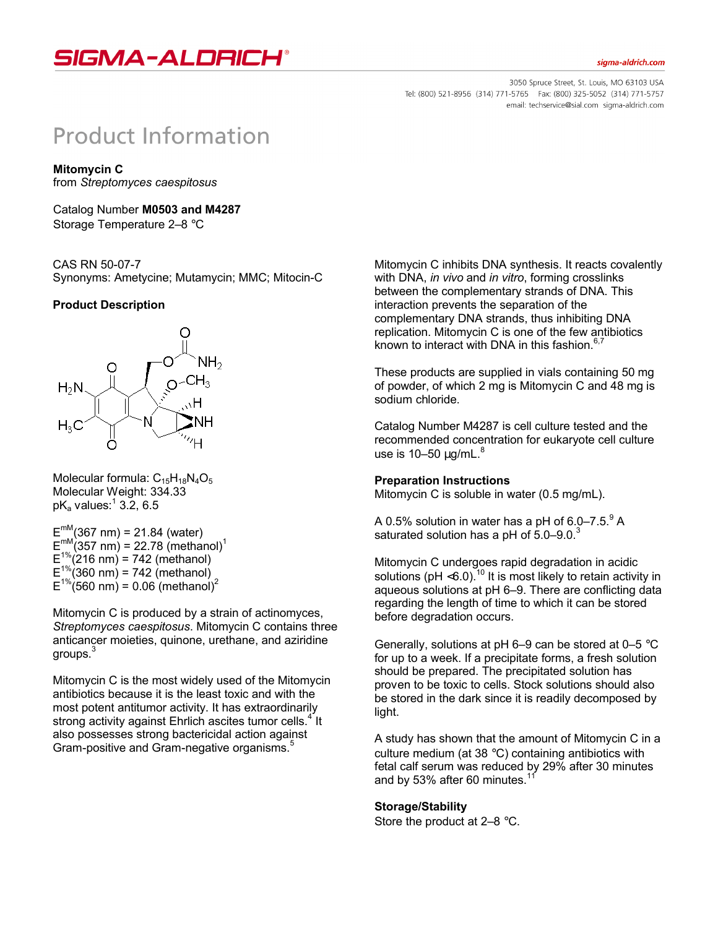

#### sigma-aldrich.com

3050 Spruce Street, St. Louis, MO 63103 USA Tel: (800) 521-8956 (314) 771-5765 Fax: (800) 325-5052 (314) 771-5757 email: techservice@sial.com sigma-aldrich.com

# **Product Information**

**Mitomycin C**

from *Streptomyces caespitosus*

Catalog Number **M0503 and M4287** Storage Temperature 2–8 °C

## CAS RN 50-07-7

Synonyms: Ametycine; Mutamycin; MMC; Mitocin-C

## **Product Description**



Molecular formula:  $C_{15}H_{18}N_4O_5$ Molecular Weight: 334.33 pK $_{\rm a}$  values: $^1$  3.2, 6.5

 $E^{mM}(367 \text{ nm}) = 21.84 \text{ (water)}$  $E_{\text{m}}^{\text{mM}}(357 \text{ nm})$  = 22.78 (methanol)<sup>1</sup>  $E^{1\%}_{1\%}(216 \text{ nm}) = 742 \text{ (method)}$  $E^{1\%}_{1\%}$ (360 nm) = 742 (methanol)  $E^{1\%}$ (560 nm) = 0.06 (methanol)<sup>2</sup>

Mitomycin C is produced by a strain of actinomyces, *Streptomyces caespitosus*. Mitomycin C contains three anticancer moieties, quinone, urethane, and aziridine aroups.<sup>3</sup>

Mitomycin C is the most widely used of the Mitomycin antibiotics because it is the least toxic and with the most potent antitumor activity. It has extraordinarily strong activity against Ehrlich ascites tumor cells.<sup>4</sup> It also possesses strong bactericidal action against Gram-positive and Gram-negative organisms.<sup>5</sup>

Mitomycin C inhibits DNA synthesis. It reacts covalently with DNA, *in vivo* and *in vitro*, forming crosslinks between the complementary strands of DNA. This interaction prevents the separation of the complementary DNA strands, thus inhibiting DNA replication. Mitomycin C is one of the few antibiotics known to interact with DNA in this fashion. $6,7$ 

These products are supplied in vials containing 50 mg of powder, of which 2 mg is Mitomycin C and 48 mg is sodium chloride.

Catalog Number M4287 is cell culture tested and the recommended concentration for eukaryote cell culture use is  $10-50 \mu q/mL$ .<sup>8</sup>

#### **Preparation Instructions**

Mitomycin C is soluble in water (0.5 mg/mL).

A 0.5% solution in water has a pH of  $6.0-7.5.^9$  A saturated solution has a pH of  $5.0-9.0<sup>3</sup>$ 

Mitomycin C undergoes rapid degradation in acidic solutions (pH  $<$ 6.0).<sup>10</sup> It is most likely to retain activity in aqueous solutions at pH 6–9. There are conflicting data regarding the length of time to which it can be stored before degradation occurs.

Generally, solutions at  $pH$  6–9 can be stored at 0–5  $^{\circ}C$ for up to a week. If a precipitate forms, a fresh solution should be prepared. The precipitated solution has proven to be toxic to cells. Stock solutions should also be stored in the dark since it is readily decomposed by light.

A study has shown that the amount of Mitomycin C in a culture medium (at 38 °C) containing antibiotics with fetal calf serum was reduced by 29% after 30 minutes and by 53% after 60 minutes.<sup>1</sup>

#### **Storage/Stability**

Store the product at 2–8 °C.